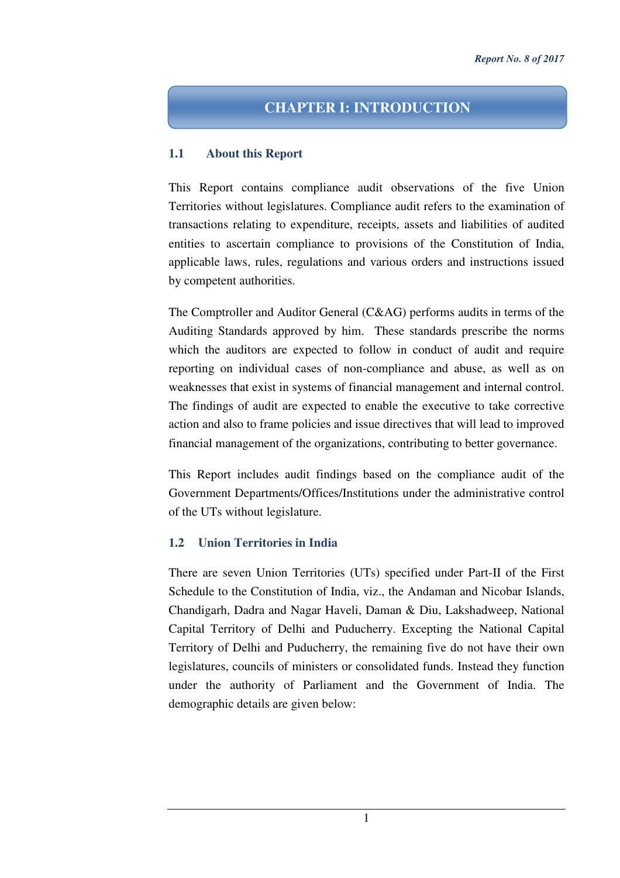# **CHAPTER I: INTRODUCTION**

#### **1.1 About this Report**

This Report contains compliance audit observations of the five Union Territories without legislatures. Compliance audit refers to the examination of transactions relating to expenditure, receipts, assets and liabilities of audited entities to ascertain compliance to provisions of the Constitution of India, applicable laws, rules, regulations and various orders and instructions issued by competent authorities.

The Comptroller and Auditor General (C&AG) performs audits in terms of the Auditing Standards approved by him. These standards prescribe the norms which the auditors are expected to follow in conduct of audit and require reporting on individual cases of non-compliance and abuse, as well as on weaknesses that exist in systems of financial management and internal control. The findings of audit are expected to enable the executive to take corrective action and also to frame policies and issue directives that will lead to improved financial management of the organizations, contributing to better governance.

This Report includes audit findings based on the compliance audit of the Government Departments/Offices/Institutions under the administrative control of the UTs without legislature.

## **1.2 Union Territories in India**

There are seven Union Territories (UTs) specified under Part-II of the First Schedule to the Constitution of India, viz., the Andaman and Nicobar Islands, Chandigarh, Dadra and Nagar Haveli, Daman & Diu, Lakshadweep, National Capital Territory of Delhi and Puducherry. Excepting the National Capital Territory of Delhi and Puducherry, the remaining five do not have their own legislatures, councils of ministers or consolidated funds. Instead they function under the authority of Parliament and the Government of India. The demographic details are given below: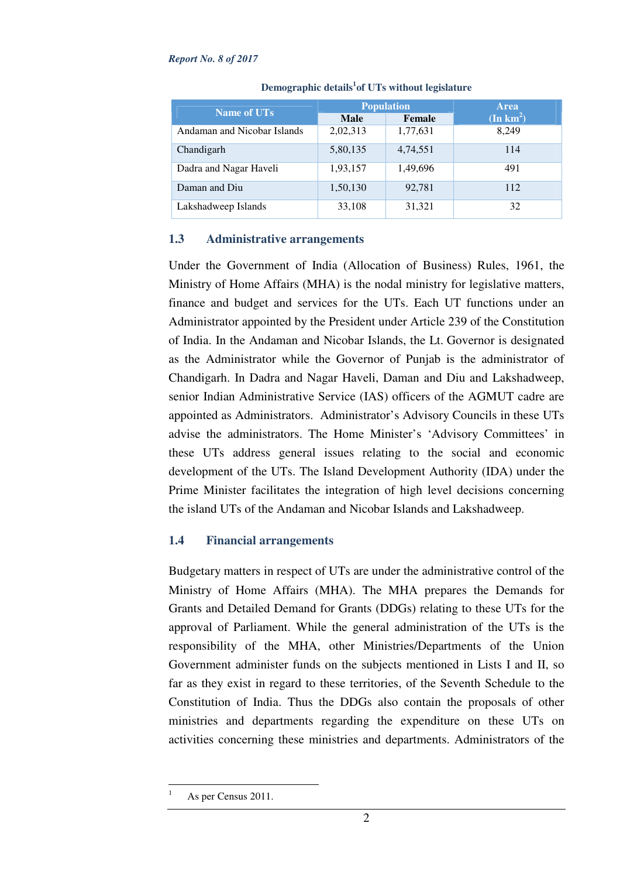#### *Report No. 8 of 2017*

| <b>Name of UTs</b>          |             | <b>Population</b> | <b>Area</b>        |
|-----------------------------|-------------|-------------------|--------------------|
|                             | <b>Male</b> | Female            | $(\text{In km}^2)$ |
| Andaman and Nicobar Islands | 2,02,313    | 1,77,631          | 8,249              |
| Chandigarh                  | 5,80,135    | 4,74,551          | 114                |
| Dadra and Nagar Haveli      | 1,93,157    | 1,49,696          | 491                |
| Daman and Diu               | 1,50,130    | 92,781            | 112                |
| Lakshadweep Islands         | 33,108      | 31,321            | 32                 |

**Demographic details<sup>1</sup> of UTs without legislature** 

## **1.3 Administrative arrangements**

Under the Government of India (Allocation of Business) Rules, 1961, the Ministry of Home Affairs (MHA) is the nodal ministry for legislative matters, finance and budget and services for the UTs. Each UT functions under an Administrator appointed by the President under Article 239 of the Constitution of India. In the Andaman and Nicobar Islands, the Lt. Governor is designated as the Administrator while the Governor of Punjab is the administrator of Chandigarh. In Dadra and Nagar Haveli, Daman and Diu and Lakshadweep, senior Indian Administrative Service (IAS) officers of the AGMUT cadre are appointed as Administrators. Administrator's Advisory Councils in these UTs advise the administrators. The Home Minister's 'Advisory Committees' in these UTs address general issues relating to the social and economic development of the UTs. The Island Development Authority (IDA) under the Prime Minister facilitates the integration of high level decisions concerning the island UTs of the Andaman and Nicobar Islands and Lakshadweep.

# **1.4 Financial arrangements**

Budgetary matters in respect of UTs are under the administrative control of the Ministry of Home Affairs (MHA). The MHA prepares the Demands for Grants and Detailed Demand for Grants (DDGs) relating to these UTs for the approval of Parliament. While the general administration of the UTs is the responsibility of the MHA, other Ministries/Departments of the Union Government administer funds on the subjects mentioned in Lists I and II, so far as they exist in regard to these territories, of the Seventh Schedule to the Constitution of India. Thus the DDGs also contain the proposals of other ministries and departments regarding the expenditure on these UTs on activities concerning these ministries and departments. Administrators of the

 $\overline{a}$ 1 As per Census 2011.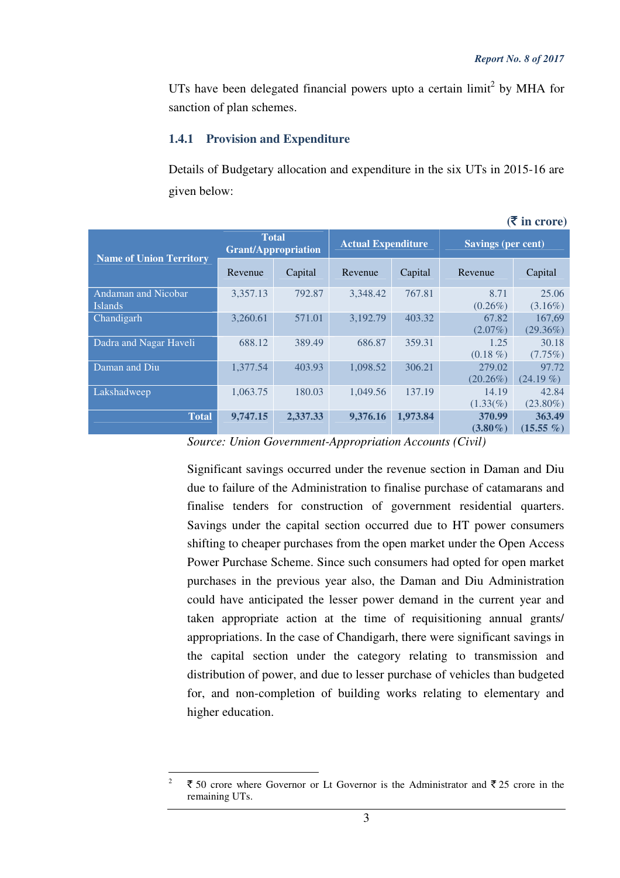$(\bar{\bar{\tau}})$  in crore)

UTs have been delegated financial powers upto a certain  $\lim_{\varepsilon \to 0} i^2$  by MHA for sanction of plan schemes.

### **1.4.1 Provision and Expenditure**

Details of Budgetary allocation and expenditure in the six UTs in 2015-16 are given below:

|                                              |                                            |          |                           |          |                           | $\sim$ 111 $\sim$ 01 $\sim$ 0 |
|----------------------------------------------|--------------------------------------------|----------|---------------------------|----------|---------------------------|-------------------------------|
| <b>Name of Union Territory</b>               | <b>Total</b><br><b>Grant/Appropriation</b> |          | <b>Actual Expenditure</b> |          | <b>Savings (per cent)</b> |                               |
|                                              | Revenue                                    | Capital  | Revenue                   | Capital  | Revenue                   | Capital                       |
| <b>Andaman and Nicobar</b><br><b>Islands</b> | 3,357.13                                   | 792.87   | 3,348.42                  | 767.81   | 8.71<br>$(0.26\%)$        | 25.06<br>$(3.16\%)$           |
| Chandigarh                                   | 3,260.61                                   | 571.01   | 3,192.79                  | 403.32   | 67.82<br>$(2.07\%)$       | 167,69<br>$(29.36\%)$         |
| Dadra and Nagar Haveli                       | 688.12                                     | 389.49   | 686.87                    | 359.31   | 1.25<br>$(0.18\%)$        | 30.18<br>$(7.75\%)$           |
| Daman and Diu                                | 1,377.54                                   | 403.93   | 1,098.52                  | 306.21   | 279.02<br>$(20.26\%)$     | 97.72<br>$(24.19\%)$          |
| Lakshadweep                                  | 1,063.75                                   | 180.03   | 1,049.56                  | 137.19   | 14.19<br>$(1.33\%)$       | 42.84<br>$(23.80\%)$          |
| <b>Total</b>                                 | 9,747.15                                   | 2,337.33 | 9,376.16                  | 1,973.84 | 370.99<br>$(3.80\%)$      | 363.49<br>$(15.55\% )$        |

*Source: Union Government-Appropriation Accounts (Civil)* 

Significant savings occurred under the revenue section in Daman and Diu due to failure of the Administration to finalise purchase of catamarans and finalise tenders for construction of government residential quarters. Savings under the capital section occurred due to HT power consumers shifting to cheaper purchases from the open market under the Open Access Power Purchase Scheme. Since such consumers had opted for open market purchases in the previous year also, the Daman and Diu Administration could have anticipated the lesser power demand in the current year and taken appropriate action at the time of requisitioning annual grants/ appropriations. In the case of Chandigarh, there were significant savings in the capital section under the category relating to transmission and distribution of power, and due to lesser purchase of vehicles than budgeted for, and non-completion of building works relating to elementary and higher education.

3

 $\frac{1}{2}$  $\bar{\xi}$  50 crore where Governor or Lt Governor is the Administrator and  $\bar{\xi}$  25 crore in the remaining UTs.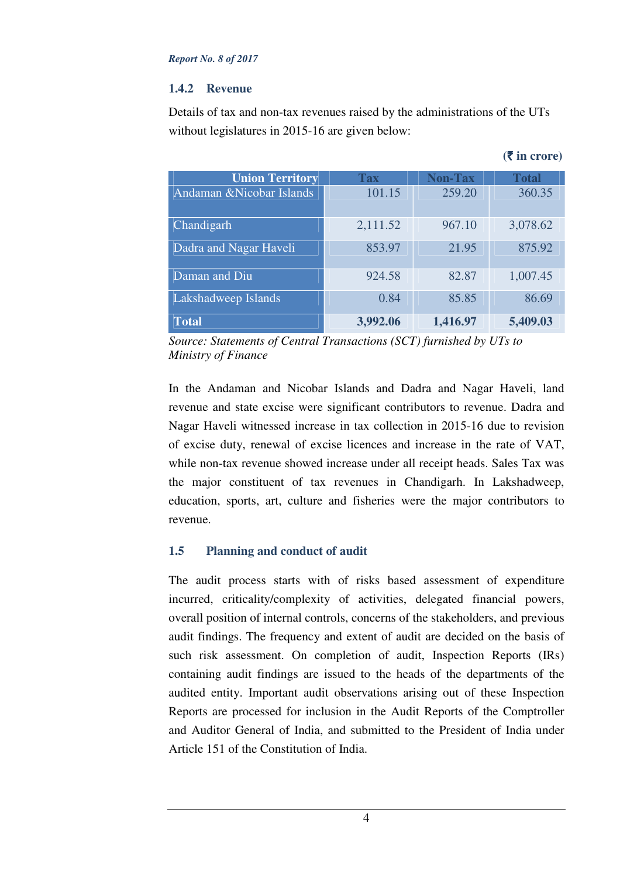#### *Report No. 8 of 2017*

## **1.4.2 Revenue**

Details of tax and non-tax revenues raised by the administrations of the UTs without legislatures in 2015-16 are given below:

| <b>Union Territory</b>    | <b>Tax</b> | <b>Non-Tax</b> | <b>Total</b> |
|---------------------------|------------|----------------|--------------|
| Andaman & Nicobar Islands | 101.15     | 259.20         | 360.35       |
|                           |            |                |              |
| Chandigarh                | 2,111.52   | 967.10         | 3,078.62     |
|                           |            |                |              |
| Dadra and Nagar Haveli    | 853.97     | 21.95          | 875.92       |
|                           |            |                |              |
| Daman and Diu             | 924.58     | 82.87          | 1,007.45     |
|                           |            |                |              |
| Lakshadweep Islands       | 0.84       | 85.85          | 86.69        |
|                           |            |                |              |
| <b>Total</b>              | 3,992.06   | 1,416.97       | 5,409.03     |

*Source: Statements of Central Transactions (SCT) furnished by UTs to Ministry of Finance* 

In the Andaman and Nicobar Islands and Dadra and Nagar Haveli, land revenue and state excise were significant contributors to revenue. Dadra and Nagar Haveli witnessed increase in tax collection in 2015-16 due to revision of excise duty, renewal of excise licences and increase in the rate of VAT, while non-tax revenue showed increase under all receipt heads. Sales Tax was the major constituent of tax revenues in Chandigarh. In Lakshadweep, education, sports, art, culture and fisheries were the major contributors to revenue.

## **1.5 Planning and conduct of audit**

The audit process starts with of risks based assessment of expenditure incurred, criticality/complexity of activities, delegated financial powers, overall position of internal controls, concerns of the stakeholders, and previous audit findings. The frequency and extent of audit are decided on the basis of such risk assessment. On completion of audit, Inspection Reports (IRs) containing audit findings are issued to the heads of the departments of the audited entity. Important audit observations arising out of these Inspection Reports are processed for inclusion in the Audit Reports of the Comptroller and Auditor General of India, and submitted to the President of India under Article 151 of the Constitution of India.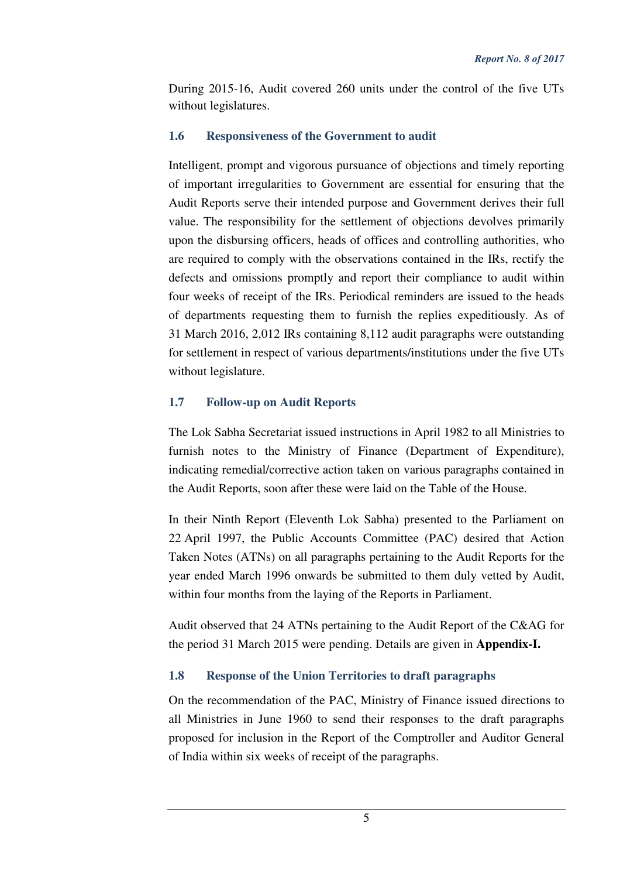During 2015-16, Audit covered 260 units under the control of the five UTs without legislatures.

## **1.6 Responsiveness of the Government to audit**

Intelligent, prompt and vigorous pursuance of objections and timely reporting of important irregularities to Government are essential for ensuring that the Audit Reports serve their intended purpose and Government derives their full value. The responsibility for the settlement of objections devolves primarily upon the disbursing officers, heads of offices and controlling authorities, who are required to comply with the observations contained in the IRs, rectify the defects and omissions promptly and report their compliance to audit within four weeks of receipt of the IRs. Periodical reminders are issued to the heads of departments requesting them to furnish the replies expeditiously. As of 31 March 2016, 2,012 IRs containing 8,112 audit paragraphs were outstanding for settlement in respect of various departments/institutions under the five UTs without legislature.

## **1.7 Follow-up on Audit Reports**

The Lok Sabha Secretariat issued instructions in April 1982 to all Ministries to furnish notes to the Ministry of Finance (Department of Expenditure), indicating remedial/corrective action taken on various paragraphs contained in the Audit Reports, soon after these were laid on the Table of the House.

In their Ninth Report (Eleventh Lok Sabha) presented to the Parliament on 22 April 1997, the Public Accounts Committee (PAC) desired that Action Taken Notes (ATNs) on all paragraphs pertaining to the Audit Reports for the year ended March 1996 onwards be submitted to them duly vetted by Audit, within four months from the laying of the Reports in Parliament.

Audit observed that 24 ATNs pertaining to the Audit Report of the C&AG for the period 31 March 2015 were pending. Details are given in **Appendix-I.**

## **1.8 Response of the Union Territories to draft paragraphs**

On the recommendation of the PAC, Ministry of Finance issued directions to all Ministries in June 1960 to send their responses to the draft paragraphs proposed for inclusion in the Report of the Comptroller and Auditor General of India within six weeks of receipt of the paragraphs.